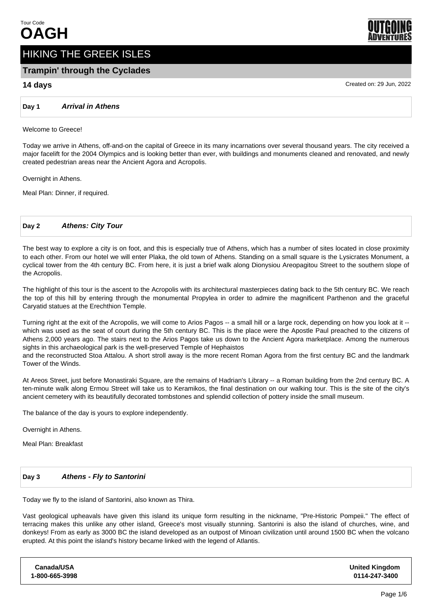

# **Trampin' through the Cyclades**

**Day 1 Arrival in Athens**

#### Welcome to Greece!

Today we arrive in Athens, off-and-on the capital of Greece in its many incarnations over several thousand years. The city received a major facelift for the 2004 Olympics and is looking better than ever, with buildings and monuments cleaned and renovated, and newly created pedestrian areas near the Ancient Agora and Acropolis.

Overnight in Athens.

Meal Plan: Dinner, if required.

## **Day 2 Athens: City Tour**

The best way to explore a city is on foot, and this is especially true of Athens, which has a number of sites located in close proximity to each other. From our hotel we will enter Plaka, the old town of Athens. Standing on a small square is the Lysicrates Monument, a cyclical tower from the 4th century BC. From here, it is just a brief walk along Dionysiou Areopagitou Street to the southern slope of the Acropolis.

The highlight of this tour is the ascent to the Acropolis with its architectural masterpieces dating back to the 5th century BC. We reach the top of this hill by entering through the monumental Propylea in order to admire the magnificent Parthenon and the graceful Caryatid statues at the Erechthion Temple.

Turning right at the exit of the Acropolis, we will come to Arios Pagos -- a small hill or a large rock, depending on how you look at it - which was used as the seat of court during the 5th century BC. This is the place were the Apostle Paul preached to the citizens of Athens 2,000 years ago. The stairs next to the Arios Pagos take us down to the Ancient Agora marketplace. Among the numerous sights in this archaeological park is the well-preserved Temple of Hephaistos

and the reconstructed Stoa Attalou. A short stroll away is the more recent Roman Agora from the first century BC and the landmark Tower of the Winds.

At Areos Street, just before Monastiraki Square, are the remains of Hadrian's Library -- a Roman building from the 2nd century BC. A ten-minute walk along Ermou Street will take us to Keramikos, the final destination on our walking tour. This is the site of the city's ancient cemetery with its beautifully decorated tombstones and splendid collection of pottery inside the small museum.

The balance of the day is yours to explore independently.

Overnight in Athens.

Meal Plan: Breakfast

## **Day 3 Athens - Fly to Santorini**

Today we fly to the island of Santorini, also known as Thira.

Vast geological upheavals have given this island its unique form resulting in the nickname, "Pre-Historic Pompeii." The effect of terracing makes this unlike any other island, Greece's most visually stunning. Santorini is also the island of churches, wine, and donkeys! From as early as 3000 BC the island developed as an outpost of Minoan civilization until around 1500 BC when the volcano erupted. At this point the island's history became linked with the legend of Atlantis.

| <b>United Kingdom</b><br>0114-247-3400 |
|----------------------------------------|
|                                        |



**14 days** Created on: 29 Jun, 2022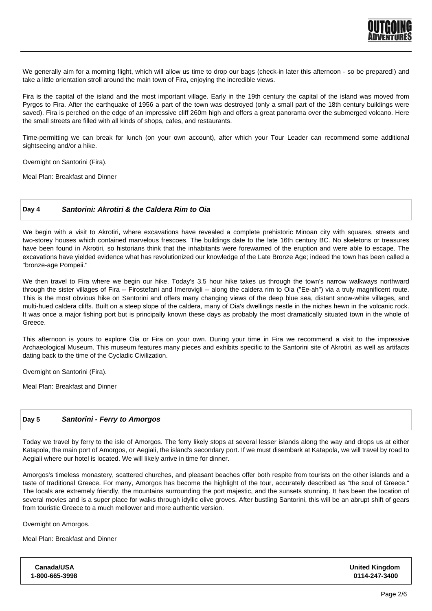We generally aim for a morning flight, which will allow us time to drop our bags (check-in later this afternoon - so be prepared!) and take a little orientation stroll around the main town of Fira, enjoying the incredible views.

Fira is the capital of the island and the most important village. Early in the 19th century the capital of the island was moved from Pyrgos to Fira. After the earthquake of 1956 a part of the town was destroyed (only a small part of the 18th century buildings were saved). Fira is perched on the edge of an impressive cliff 260m high and offers a great panorama over the submerged volcano. Here the small streets are filled with all kinds of shops, cafes, and restaurants.

Time-permitting we can break for lunch (on your own account), after which your Tour Leader can recommend some additional sightseeing and/or a hike.

Overnight on Santorini (Fira).

Meal Plan: Breakfast and Dinner

# **Day 4 Santorini: Akrotiri & the Caldera Rim to Oia**

We begin with a visit to Akrotiri, where excavations have revealed a complete prehistoric Minoan city with squares, streets and two-storey houses which contained marvelous frescoes. The buildings date to the late 16th century BC. No skeletons or treasures have been found in Akrotiri, so historians think that the inhabitants were forewarned of the eruption and were able to escape. The excavations have yielded evidence what has revolutionized our knowledge of the Late Bronze Age; indeed the town has been called a "bronze-age Pompeii."

We then travel to Fira where we begin our hike. Today's 3.5 hour hike takes us through the town's narrow walkways northward through the sister villages of Fira -- Firostefani and Imerovigli -- along the caldera rim to Oia ("Ee-ah") via a truly magnificent route. This is the most obvious hike on Santorini and offers many changing views of the deep blue sea, distant snow-white villages, and multi-hued caldera cliffs. Built on a steep slope of the caldera, many of Oia's dwellings nestle in the niches hewn in the volcanic rock. It was once a major fishing port but is principally known these days as probably the most dramatically situated town in the whole of Greece.

This afternoon is yours to explore Oia or Fira on your own. During your time in Fira we recommend a visit to the impressive Archaeological Museum. This museum features many pieces and exhibits specific to the Santorini site of Akrotiri, as well as artifacts dating back to the time of the Cycladic Civilization.

Overnight on Santorini (Fira).

Meal Plan: Breakfast and Dinner

## **Day 5 Santorini - Ferry to Amorgos**

Today we travel by ferry to the isle of Amorgos. The ferry likely stops at several lesser islands along the way and drops us at either Katapola, the main port of Amorgos, or Aegiali, the island's secondary port. If we must disembark at Katapola, we will travel by road to Aegiali where our hotel is located. We will likely arrive in time for dinner.

Amorgos's timeless monastery, scattered churches, and pleasant beaches offer both respite from tourists on the other islands and a taste of traditional Greece. For many, Amorgos has become the highlight of the tour, accurately described as "the soul of Greece." The locals are extremely friendly, the mountains surrounding the port majestic, and the sunsets stunning. It has been the location of several movies and is a super place for walks through idyllic olive groves. After bustling Santorini, this will be an abrupt shift of gears from touristic Greece to a much mellower and more authentic version.

Overnight on Amorgos.

Meal Plan: Breakfast and Dinner

| Canada/USA     | <b>United Kingdom</b> |
|----------------|-----------------------|
| 1-800-665-3998 | 0114-247-3400         |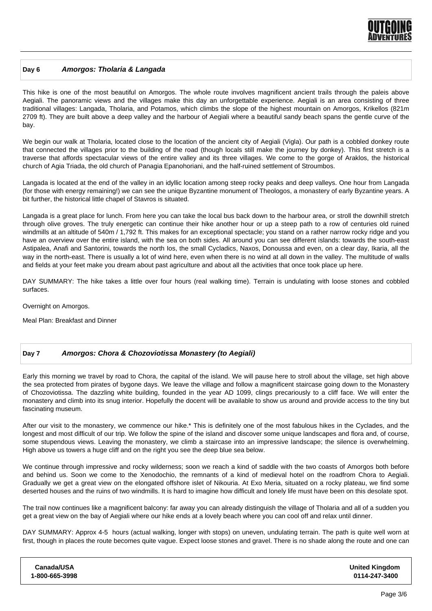

## **Day 6 Amorgos: Tholaria & Langada**

This hike is one of the most beautiful on Amorgos. The whole route involves magnificent ancient trails through the paleis above Aegiali. The panoramic views and the villages make this day an unforgettable experience. Aegiali is an area consisting of three traditional villages: Langada, Tholaria, and Potamos, which climbs the slope of the highest mountain on Amorgos, Krikellos (821m 2709 ft). They are built above a deep valley and the harbour of Aegiali where a beautiful sandy beach spans the gentle curve of the bay.

We begin our walk at Tholaria, located close to the location of the ancient city of Aegiali (Vigla). Our path is a cobbled donkey route that connected the villages prior to the building of the road (though locals still make the journey by donkey). This first stretch is a traverse that affords spectacular views of the entire valley and its three villages. We come to the gorge of Araklos, the historical church of Agia Triada, the old church of Panagia Epanohoriani, and the half-ruined settlement of Stroumbos.

Langada is located at the end of the valley in an idyllic location among steep rocky peaks and deep valleys. One hour from Langada (for those with energy remaining!) we can see the unique Byzantine monument of Theologos, a monastery of early Byzantine years. A bit further, the historical little chapel of Stavros is situated.

Langada is a great place for lunch. From here you can take the local bus back down to the harbour area, or stroll the downhill stretch through olive groves. The truly energetic can continue their hike another hour or up a steep path to a row of centuries old ruined windmills at an altitude of 540m / 1,792 ft. This makes for an exceptional spectacle; you stand on a rather narrow rocky ridge and you have an overview over the entire island, with the sea on both sides. All around you can see different islands: towards the south-east Astipalea, Anafi and Santorini, towards the north Ios, the small Cycladics, Naxos, Donoussa and even, on a clear day, Ikaria, all the way in the north-east. There is usually a lot of wind here, even when there is no wind at all down in the valley. The multitude of walls and fields at your feet make you dream about past agriculture and about all the activities that once took place up here.

DAY SUMMARY: The hike takes a little over four hours (real walking time). Terrain is undulating with loose stones and cobbled surfaces.

Overnight on Amorgos.

Meal Plan: Breakfast and Dinner

## **Day 7 Amorgos: Chora & Chozoviotissa Monastery (to Aegiali)**

Early this morning we travel by road to Chora, the capital of the island. We will pause here to stroll about the village, set high above the sea protected from pirates of bygone days. We leave the village and follow a magnificent staircase going down to the Monastery of Chozoviotissa. The dazzling white building, founded in the year AD 1099, clings precariously to a cliff face. We will enter the monastery and climb into its snug interior. Hopefully the docent will be available to show us around and provide access to the tiny but fascinating museum.

After our visit to the monastery, we commence our hike.\* This is definitely one of the most fabulous hikes in the Cyclades, and the longest and most difficult of our trip. We follow the spine of the island and discover some unique landscapes and flora and, of course, some stupendous views. Leaving the monastery, we climb a staircase into an impressive landscape; the silence is overwhelming. High above us towers a huge cliff and on the right you see the deep blue sea below.

We continue through impressive and rocky wilderness; soon we reach a kind of saddle with the two coasts of Amorgos both before and behind us. Soon we come to the Xenodochio, the remnants of a kind of medieval hotel on the roadfrom Chora to Aegiali. Gradually we get a great view on the elongated offshore islet of Nikouria. At Exo Meria, situated on a rocky plateau, we find some deserted houses and the ruins of two windmills. It is hard to imagine how difficult and lonely life must have been on this desolate spot.

The trail now continues like a magnificent balcony: far away you can already distinguish the village of Tholaria and all of a sudden you get a great view on the bay of Aegiali where our hike ends at a lovely beach where you can cool off and relax until dinner.

DAY SUMMARY: Approx 4-5 hours (actual walking, longer with stops) on uneven, undulating terrain. The path is quite well worn at first, though in places the route becomes quite vague. Expect loose stones and gravel. There is no shade along the route and one can

| Canada/USA     | <b>United Kingdom</b> |
|----------------|-----------------------|
| 1-800-665-3998 | 0114-247-3400         |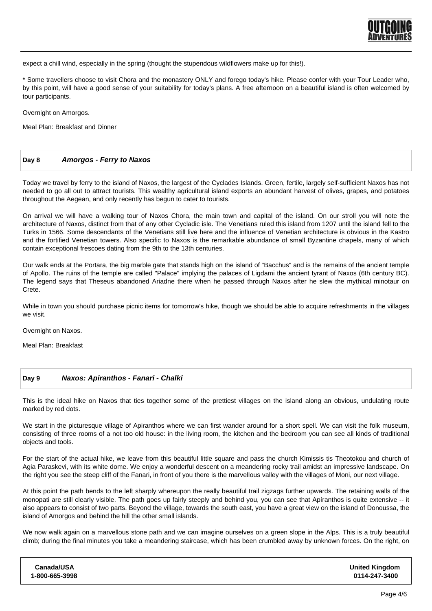

expect a chill wind, especially in the spring (thought the stupendous wildflowers make up for this!).

\* Some travellers choose to visit Chora and the monastery ONLY and forego today's hike. Please confer with your Tour Leader who, by this point, will have a good sense of your suitability for today's plans. A free afternoon on a beautiful island is often welcomed by tour participants.

Overnight on Amorgos.

Meal Plan: Breakfast and Dinner

| Day 8 | <b>Amorgos - Ferry to Naxos</b> |  |
|-------|---------------------------------|--|
|       |                                 |  |

Today we travel by ferry to the island of Naxos, the largest of the Cyclades Islands. Green, fertile, largely self-sufficient Naxos has not needed to go all out to attract tourists. This wealthy agricultural island exports an abundant harvest of olives, grapes, and potatoes throughout the Aegean, and only recently has begun to cater to tourists.

On arrival we will have a walking tour of Naxos Chora, the main town and capital of the island. On our stroll you will note the architecture of Naxos, distinct from that of any other Cycladic isle. The Venetians ruled this island from 1207 until the island fell to the Turks in 1566. Some descendants of the Venetians still live here and the influence of Venetian architecture is obvious in the Kastro and the fortified Venetian towers. Also specific to Naxos is the remarkable abundance of small Byzantine chapels, many of which contain exceptional frescoes dating from the 9th to the 13th centuries.

Our walk ends at the Portara, the big marble gate that stands high on the island of "Bacchus" and is the remains of the ancient temple of Apollo. The ruins of the temple are called "Palace" implying the palaces of Ligdami the ancient tyrant of Naxos (6th century BC). The legend says that Theseus abandoned Ariadne there when he passed through Naxos after he slew the mythical minotaur on Crete.

While in town you should purchase picnic items for tomorrow's hike, though we should be able to acquire refreshments in the villages we visit.

Overnight on Naxos.

Meal Plan: Breakfast

#### **Day 9 Naxos: Apiranthos - Fanari - Chalki**

This is the ideal hike on Naxos that ties together some of the prettiest villages on the island along an obvious, undulating route marked by red dots.

We start in the picturesque village of Apiranthos where we can first wander around for a short spell. We can visit the folk museum, consisting of three rooms of a not too old house: in the living room, the kitchen and the bedroom you can see all kinds of traditional objects and tools.

For the start of the actual hike, we leave from this beautiful little square and pass the church Kimissis tis Theotokou and church of Agia Paraskevi, with its white dome. We enjoy a wonderful descent on a meandering rocky trail amidst an impressive landscape. On the right you see the steep cliff of the Fanari, in front of you there is the marvellous valley with the villages of Moni, our next village.

At this point the path bends to the left sharply whereupon the really beautiful trail zigzags further upwards. The retaining walls of the monopati are still clearly visible. The path goes up fairly steeply and behind you, you can see that Apíranthos is quite extensive -- it also appears to consist of two parts. Beyond the village, towards the south east, you have a great view on the island of Donoussa, the island of Amorgos and behind the hill the other small islands.

We now walk again on a marvellous stone path and we can imagine ourselves on a green slope in the Alps. This is a truly beautiful climb; during the final minutes you take a meandering staircase, which has been crumbled away by unknown forces. On the right, on

| Canada/USA     | <b>United Kingdom</b> |
|----------------|-----------------------|
| 1-800-665-3998 | 0114-247-3400         |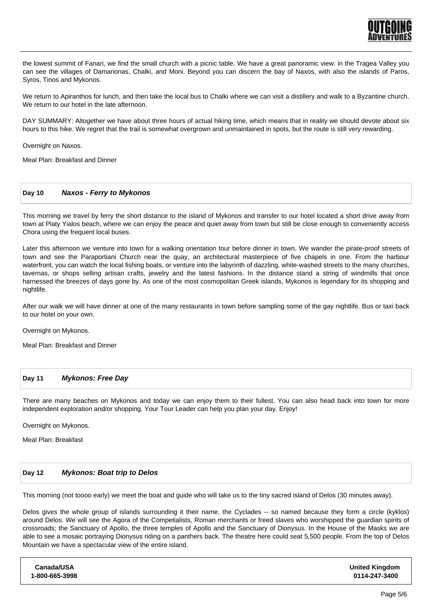

the lowest summit of Fanari, we find the small church with a picnic table. We have a great panoramic view: in the Tragea Valley you can see the villages of Damarionas, Chalki, and Moni. Beyond you can discern the bay of Naxos, with also the islands of Paros, Syros, Tinos and Mykonos.

We return to Apiranthos for lunch, and then take the local bus to Chalki where we can visit a distillery and walk to a Byzantine church. We return to our hotel in the late afternoon.

DAY SUMMARY: Altogether we have about three hours of actual hiking time, which means that in reality we should devote about six hours to this hike. We regret that the trail is somewhat overgrown and unmaintained in spots, but the route is still very rewarding.

Overnight on Naxos.

Meal Plan: Breakfast and Dinner

#### **Day 10 Naxos - Ferry to Mykonos**

This morning we travel by ferry the short distance to the island of Mykonos and transfer to our hotel located a short drive away from town at Platy Yialos beach, where we can enjoy the peace and quiet away from town but still be close enough to conveniently access Chora using the frequent local buses.

Later this afternoon we venture into town for a walking orientation tour before dinner in town. We wander the pirate-proof streets of town and see the Paraportiani Church near the quay, an architectural masterpiece of five chapels in one. From the harbour waterfront, you can watch the local fishing boats, or venture into the labyrinth of dazzling, white-washed streets to the many churches, tavernas, or shops selling artisan crafts, jewelry and the latest fashions. In the distance stand a string of windmills that once harnessed the breezes of days gone by. As one of the most cosmopolitan Greek islands, Mykonos is legendary for its shopping and nightlife.

After our walk we will have dinner at one of the many restaurants in town before sampling some of the gay nightlife. Bus or taxi back to our hotel on your own.

Overnight on Mykonos.

Meal Plan: Breakfast and Dinner

# **Day 11 Mykonos: Free Day**

There are many beaches on Mykonos and today we can enjoy them to their fullest. You can also head back into town for more independent exploration and/or shopping. Your Tour Leader can help you plan your day. Enjoy!

Overnight on Mykonos.

Meal Plan: Breakfast

#### **Day 12 Mykonos: Boat trip to Delos**

This morning (not toooo early) we meet the boat and guide who will take us to the tiny sacred island of Delos (30 minutes away).

Delos gives the whole group of islands surrounding it their name, the Cyclades -- so named because they form a circle (kyklos) around Delos. We will see the Agora of the Competialists, Roman merchants or freed slaves who worshipped the guardian spirits of crossroads; the Sanctuary of Apollo, the three temples of Apollo and the Sanctuary of Dionysus. In the House of the Masks we are able to see a mosaic portraying Dionysus riding on a panthers back. The theatre here could seat 5,500 people. From the top of Delos Mountain we have a spectacular view of the entire island.

| Canada/USA     | <b>United Kingdom</b> |
|----------------|-----------------------|
| 1-800-665-3998 | 0114-247-3400         |